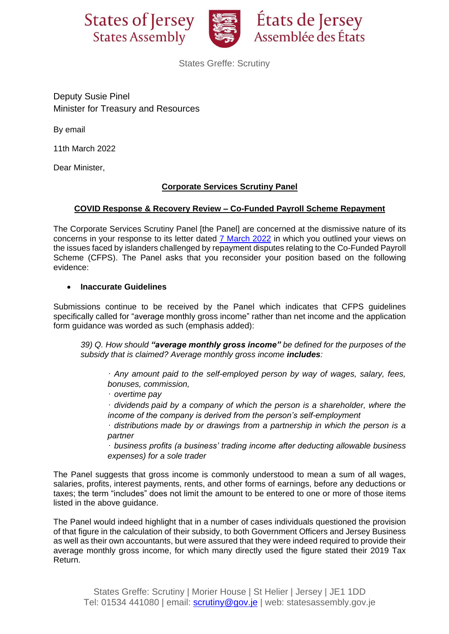



États de Jersey Assemblée des États

States Greffe: Scrutiny

Deputy Susie Pinel Minister for Treasury and Resources

By email

11th March 2022

Dear Minister,

# **Corporate Services Scrutiny Panel**

## **COVID Response & Recovery Review – Co-Funded Payroll Scheme Repayment**

The Corporate Services Scrutiny Panel [the Panel] are concerned at the dismissive nature of its concerns in your response to its letter dated 7 [March](https://statesassembly.gov.je/ScrutinyReports/2022/Letter%20-%20Minister%20for%20Treasury%20and%20Resources%20to%20Corporate%20Services%20Scrutiny%20Panel%20re%20CFPS%20repayments%20-%207%20March%202022.pdf) 2022 in which you outlined your views on the issues faced by islanders challenged by repayment disputes relating to the Co-Funded Payroll Scheme (CFPS). The Panel asks that you reconsider your position based on the following evidence:

## • **Inaccurate Guidelines**

Submissions continue to be received by the Panel which indicates that CFPS guidelines specifically called for "average monthly gross income" rather than net income and the application form guidance was worded as such (emphasis added):

*39) Q. How should "average monthly gross income" be defined for the purposes of the subsidy that is claimed? Average monthly gross income includes:*

· *Any amount paid to the self-employed person by way of wages, salary, fees, bonuses, commission,*

· *overtime pay*

· *dividends paid by a company of which the person is a shareholder, where the income of the company is derived from the person's self-employment*

· *distributions made by or drawings from a partnership in which the person is a partner*

· *business profits (a business' trading income after deducting allowable business expenses) for a sole trader*

The Panel suggests that gross income is commonly understood to mean a sum of all wages, salaries, profits, interest payments, rents, and other forms of earnings, before any deductions or taxes; the term "includes" does not limit the amount to be entered to one or more of those items listed in the above guidance.

The Panel would indeed highlight that in a number of cases individuals questioned the provision of that figure in the calculation of their subsidy, to both Government Officers and Jersey Business as well as their own accountants, but were assured that they were indeed required to provide their average monthly gross income, for which many directly used the figure stated their 2019 Tax Return.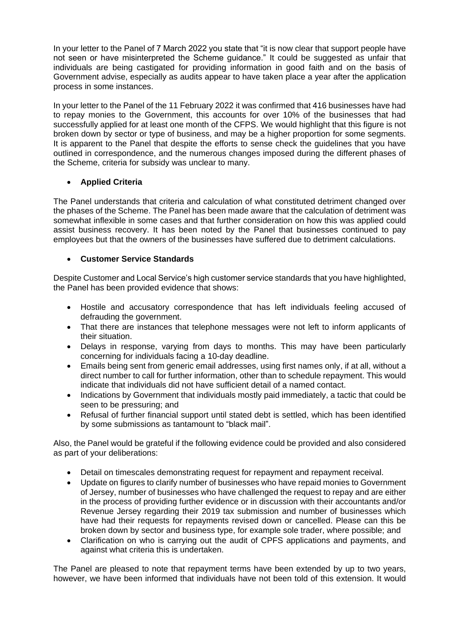In your letter to the Panel of 7 March 2022 you state that "it is now clear that support people have not seen or have misinterpreted the Scheme guidance." It could be suggested as unfair that individuals are being castigated for providing information in good faith and on the basis of Government advise, especially as audits appear to have taken place a year after the application process in some instances.

In your letter to the Panel of the 11 February 2022 it was confirmed that 416 businesses have had to repay monies to the Government, this accounts for over 10% of the businesses that had successfully applied for at least one month of the CFPS. We would highlight that this figure is not broken down by sector or type of business, and may be a higher proportion for some segments. It is apparent to the Panel that despite the efforts to sense check the guidelines that you have outlined in correspondence, and the numerous changes imposed during the different phases of the Scheme, criteria for subsidy was unclear to many.

## • **Applied Criteria**

The Panel understands that criteria and calculation of what constituted detriment changed over the phases of the Scheme. The Panel has been made aware that the calculation of detriment was somewhat inflexible in some cases and that further consideration on how this was applied could assist business recovery. It has been noted by the Panel that businesses continued to pay employees but that the owners of the businesses have suffered due to detriment calculations.

## • **Customer Service Standards**

Despite Customer and Local Service's high customer service standards that you have highlighted, the Panel has been provided evidence that shows:

- Hostile and accusatory correspondence that has left individuals feeling accused of defrauding the government.
- That there are instances that telephone messages were not left to inform applicants of their situation.
- Delays in response, varying from days to months. This may have been particularly concerning for individuals facing a 10-day deadline.
- Emails being sent from generic email addresses, using first names only, if at all, without a direct number to call for further information, other than to schedule repayment. This would indicate that individuals did not have sufficient detail of a named contact.
- Indications by Government that individuals mostly paid immediately, a tactic that could be seen to be pressuring; and
- Refusal of further financial support until stated debt is settled, which has been identified by some submissions as tantamount to "black mail".

Also, the Panel would be grateful if the following evidence could be provided and also considered as part of your deliberations:

- Detail on timescales demonstrating request for repayment and repayment receival.
- Update on figures to clarify number of businesses who have repaid monies to Government of Jersey, number of businesses who have challenged the request to repay and are either in the process of providing further evidence or in discussion with their accountants and/or Revenue Jersey regarding their 2019 tax submission and number of businesses which have had their requests for repayments revised down or cancelled. Please can this be broken down by sector and business type, for example sole trader, where possible; and
- Clarification on who is carrying out the audit of CPFS applications and payments, and against what criteria this is undertaken.

The Panel are pleased to note that repayment terms have been extended by up to two years, however, we have been informed that individuals have not been told of this extension. It would